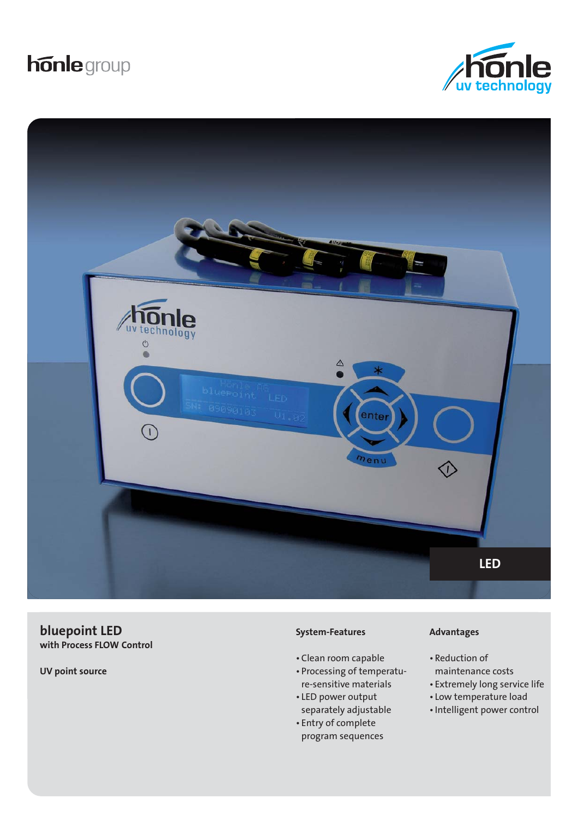# **honle** group





**bluepoint LED with Process FLOW Control**

**UV point source**

#### **System-Features**

- Clean room capable
- Processing of temperature-sensitive materials
- LED power output separately adjustable
- Entry of complete program sequences

#### **Advantages**

- Reduction of maintenance costs
- Extremely long service life
- Low temperature load
- Intelligent power control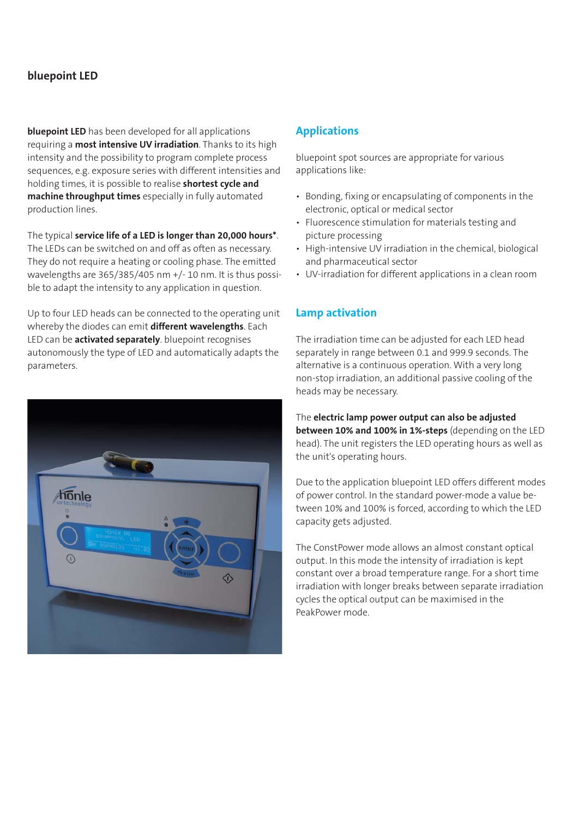## **bluepoint LED**

**bluepoint LED** has been developed for all applications requiring a **most intensive UV irradiation**. Thanks to its high intensity and the possibility to program complete process sequences, e.g. exposure series with different intensities and holding times, it is possible to realise **shortest cycle and machine throughput times** especially in fully automated production lines.

The typical **service life of a LED is longer than 20,000 hours\***. The LEDs can be switched on and off as often as necessary. They do not require a heating or cooling phase. The emitted wavelengths are 365/385/405 nm +/- 10 nm. It is thus possible to adapt the intensity to any application in question.

Up to four LED heads can be connected to the operating unit whereby the diodes can emit **different wavelengths**. Each LED can be **activated separately**. bluepoint recognises autonomously the type of LED and automatically adapts the parameters.



#### **Applications**

bluepoint spot sources are appropriate for various applications like:

- Bonding, fixing or encapsulating of components in the electronic, optical or medical sector
- Fluorescence stimulation for materials testing and picture processing
- High-intensive UV irradiation in the chemical, biological and pharmaceutical sector
- UV-irradiation for different applications in a clean room

#### **Lamp activation**

The irradiation time can be adjusted for each LED head separately in range between 0.1 and 999.9 seconds. The alternative is a continuous operation. With a very long non-stop irradiation, an additional passive cooling of the heads may be necessary.

The **electric lamp power output can also be adjusted between 10% and 100% in 1%-steps** (depending on the LED head). The unit registers the LED operating hours as well as the unit's operating hours.

Due to the application bluepoint LED offers different modes of power control. In the standard power-mode a value between 10% and 100% is forced, according to which the LED capacity gets adjusted.

The ConstPower mode allows an almost constant optical output. In this mode the intensity of irradiation is kept constant over a broad temperature range. For a short time irradiation with longer breaks between separate irradiation cycles the optical output can be maximised in the PeakPower mode.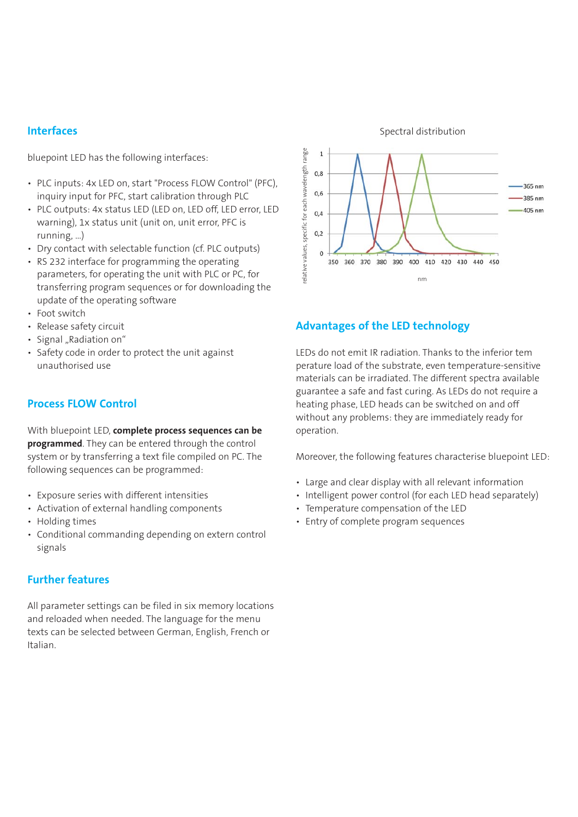#### **Interfaces**

bluepoint LED has the following interfaces:

- PLC inputs: 4x LED on, start "Process FLOW Control" (PFC), inquiry input for PFC, start calibration through PLC
- PLC outputs: 4x status LED (LED on, LED off, LED error, LED warning), 1x status unit (unit on, unit error, PFC is running, …)
- Dry contact with selectable function (cf. PLC outputs)
- RS 232 interface for programming the operating parameters, for operating the unit with PLC or PC, for transferring program sequences or for downloading the update of the operating software
- Foot switch
- Release safety circuit
- Signal "Radiation on"
- Safety code in order to protect the unit against unauthorised use

## **Process FLOW Control**

With bluepoint LED, **complete process sequences can be programmed**. They can be entered through the control system or by transferring a text file compiled on PC. The following sequences can be programmed:

- Exposure series with different intensities
- Activation of external handling components
- Holding times
- Conditional commanding depending on extern control signals

## **Further features**

All parameter settings can be filed in six memory locations and reloaded when needed. The language for the menu texts can be selected between German, English, French or Italian.



#### **Advantages of the LED technology**

LEDs do not emit IR radiation. Thanks to the inferior tem perature load of the substrate, even temperature-sensitive materials can be irradiated. The different spectra available guarantee a safe and fast curing. As LEDs do not require a heating phase, LED heads can be switched on and off without any problems: they are immediately ready for operation.

Moreover, the following features characterise bluepoint LED:

- Large and clear display with all relevant information
- Intelligent power control (for each LED head separately)
- Temperature compensation of the LED
- Entry of complete program sequences